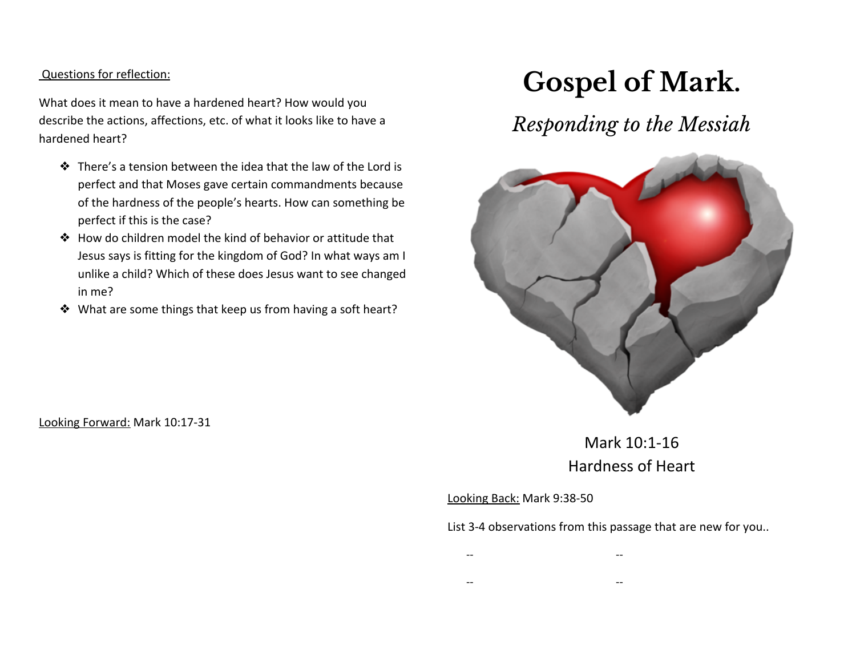Questions for reflection:

What does it mean to have a hardened heart? How would you describe the actions, affections, etc. of what it looks like to have a hardened heart?

- ❖ There's a tension between the idea that the law of the Lord is perfect and that Moses gave certain commandments because of the hardness of the people's hearts. How can something be perfect if this is the case?
- ❖ How do children model the kind of behavior or attitude that Jesus says is fitting for the kingdom of God? In what ways am I unlike a child? Which of these does Jesus want to see changed in me?
- ❖ What are some things that keep us from having a soft heart?

# **Gospel of Mark.**

## *Responding to the Messiah*



### Mark 10:1-16 Hardness of Heart

#### Looking Back: Mark 9:38-50

List 3-4 observations from this passage that are new for you..

| $- -$ |  |  | $- -$ |
|-------|--|--|-------|
|       |  |  |       |

-- --

Looking Forward: Mark 10:17-31